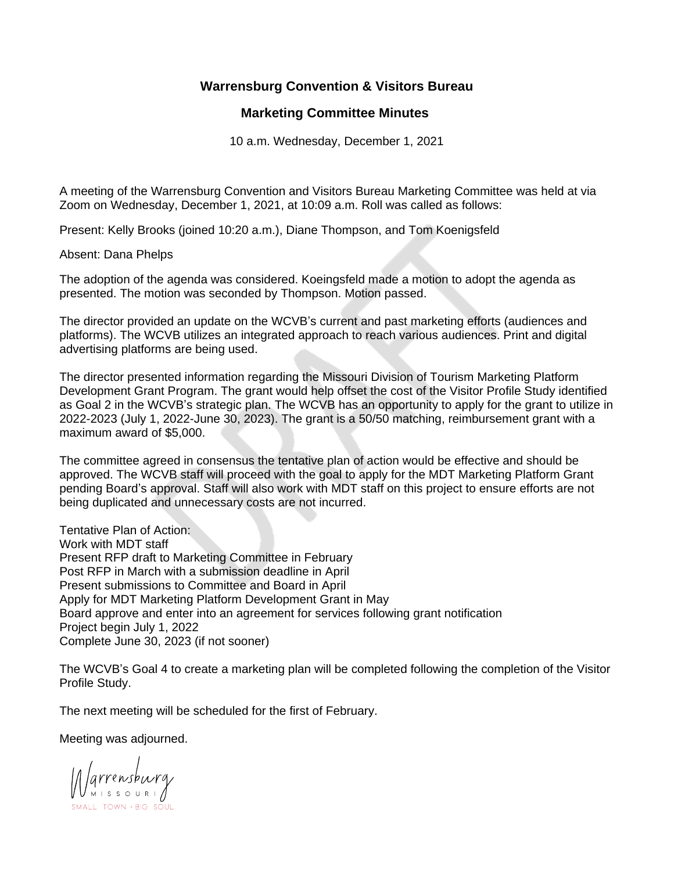## **Warrensburg Convention & Visitors Bureau**

## **Marketing Committee Minutes**

10 a.m. Wednesday, December 1, 2021

A meeting of the Warrensburg Convention and Visitors Bureau Marketing Committee was held at via Zoom on Wednesday, December 1, 2021, at 10:09 a.m. Roll was called as follows:

Present: Kelly Brooks (joined 10:20 a.m.), Diane Thompson, and Tom Koenigsfeld

Absent: Dana Phelps

The adoption of the agenda was considered. Koeingsfeld made a motion to adopt the agenda as presented. The motion was seconded by Thompson. Motion passed.

The director provided an update on the WCVB's current and past marketing efforts (audiences and platforms). The WCVB utilizes an integrated approach to reach various audiences. Print and digital advertising platforms are being used.

The director presented information regarding the Missouri Division of Tourism Marketing Platform Development Grant Program. The grant would help offset the cost of the Visitor Profile Study identified as Goal 2 in the WCVB's strategic plan. The WCVB has an opportunity to apply for the grant to utilize in 2022-2023 (July 1, 2022-June 30, 2023). The grant is a 50/50 matching, reimbursement grant with a maximum award of \$5,000.

The committee agreed in consensus the tentative plan of action would be effective and should be approved. The WCVB staff will proceed with the goal to apply for the MDT Marketing Platform Grant pending Board's approval. Staff will also work with MDT staff on this project to ensure efforts are not being duplicated and unnecessary costs are not incurred.

Tentative Plan of Action: Work with MDT staff Present RFP draft to Marketing Committee in February Post RFP in March with a submission deadline in April Present submissions to Committee and Board in April Apply for MDT Marketing Platform Development Grant in May Board approve and enter into an agreement for services following grant notification Project begin July 1, 2022 Complete June 30, 2023 (if not sooner)

The WCVB's Goal 4 to create a marketing plan will be completed following the completion of the Visitor Profile Study.

The next meeting will be scheduled for the first of February.

Meeting was adjourned.

Marrensburg SMALL TOWN + BIG 3